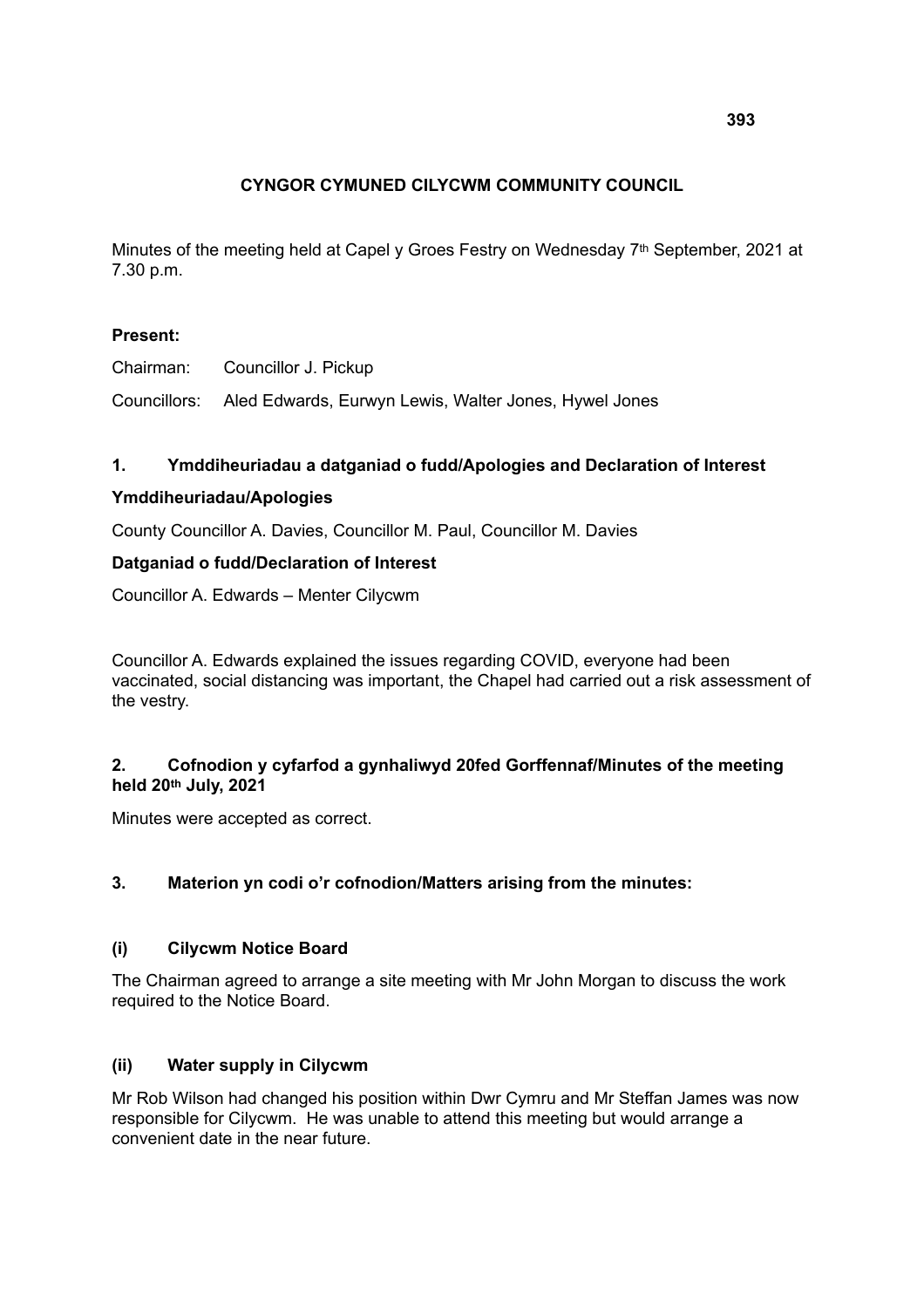# **CYNGOR CYMUNED CILYCWM COMMUNITY COUNCIL**

Minutes of the meeting held at Capel y Groes Festry on Wednesday 7<sup>th</sup> September, 2021 at 7.30 p.m.

## **Present:**

Chairman: Councillor J. Pickup

Councillors: Aled Edwards, Eurwyn Lewis, Walter Jones, Hywel Jones

## **1. Ymddiheuriadau a datganiad o fudd/Apologies and Declaration of Interest**

#### **Ymddiheuriadau/Apologies**

County Councillor A. Davies, Councillor M. Paul, Councillor M. Davies

#### **Datganiad o fudd/Declaration of Interest**

Councillor A. Edwards – Menter Cilycwm

Councillor A. Edwards explained the issues regarding COVID, everyone had been vaccinated, social distancing was important, the Chapel had carried out a risk assessment of the vestry.

## **2. Cofnodion y cyfarfod a gynhaliwyd 20fed Gorffennaf/Minutes of the meeting held 20th July, 2021**

Minutes were accepted as correct.

## **3. Materion yn codi o'r cofnodion/Matters arising from the minutes:**

## **(i) Cilycwm Notice Board**

The Chairman agreed to arrange a site meeting with Mr John Morgan to discuss the work required to the Notice Board.

## **(ii) Water supply in Cilycwm**

Mr Rob Wilson had changed his position within Dwr Cymru and Mr Steffan James was now responsible for Cilycwm. He was unable to attend this meeting but would arrange a convenient date in the near future.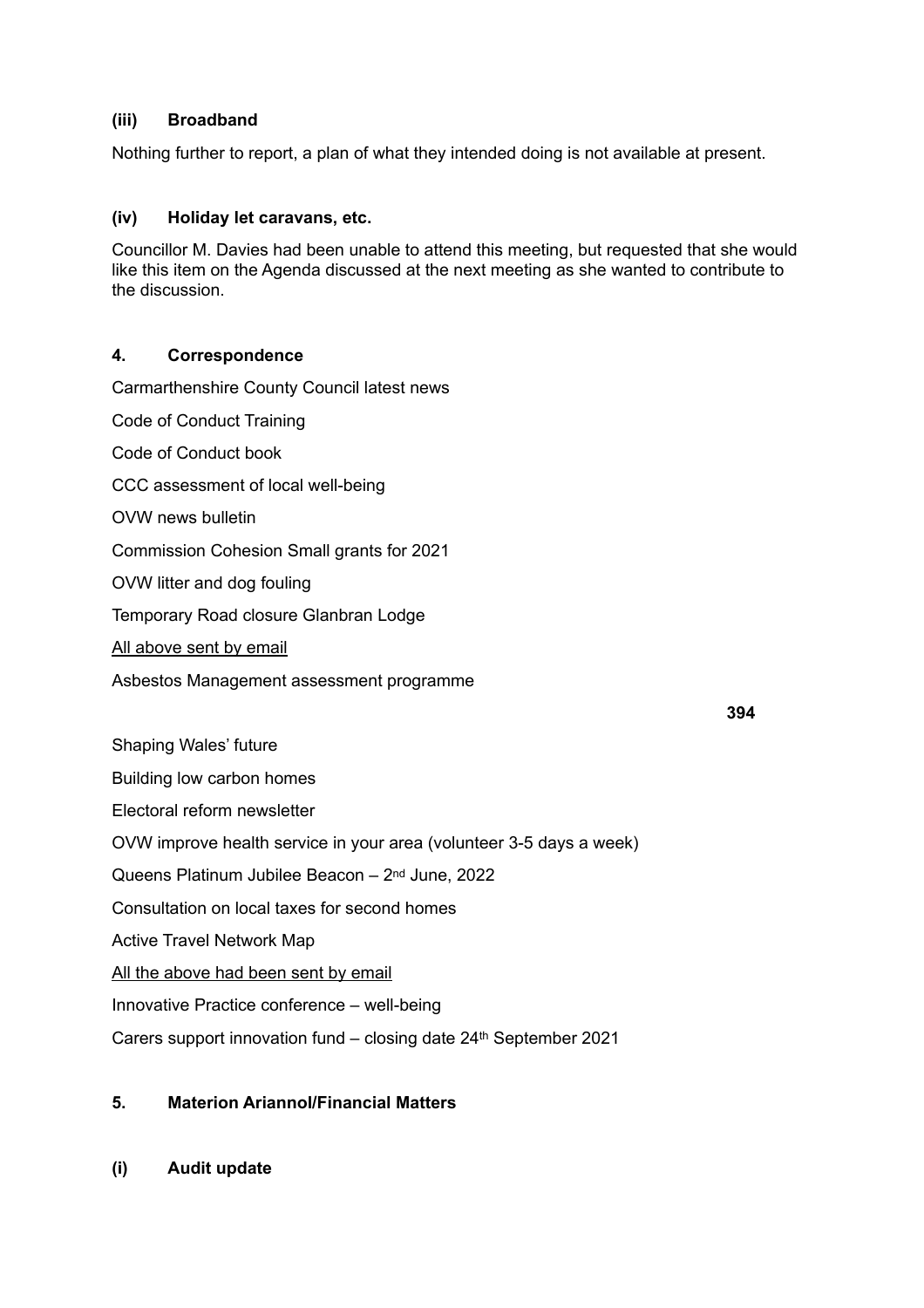## **(iii) Broadband**

Nothing further to report, a plan of what they intended doing is not available at present.

### **(iv) Holiday let caravans, etc.**

Councillor M. Davies had been unable to attend this meeting, but requested that she would like this item on the Agenda discussed at the next meeting as she wanted to contribute to the discussion.

#### **4. Correspondence**

Carmarthenshire County Council latest news

Code of Conduct Training Code of Conduct book

CCC assessment of local well-being

OVW news bulletin

Commission Cohesion Small grants for 2021

OVW litter and dog fouling

Temporary Road closure Glanbran Lodge

All above sent by email

Asbestos Management assessment programme

Shaping Wales' future Building low carbon homes Electoral reform newsletter OVW improve health service in your area (volunteer 3-5 days a week) Queens Platinum Jubilee Beacon – 2nd June, 2022 Consultation on local taxes for second homes Active Travel Network Map All the above had been sent by email Innovative Practice conference – well-being

Carers support innovation fund – closing date 24th September 2021

## **5. Materion Ariannol/Financial Matters**

**(i) Audit update**

**394**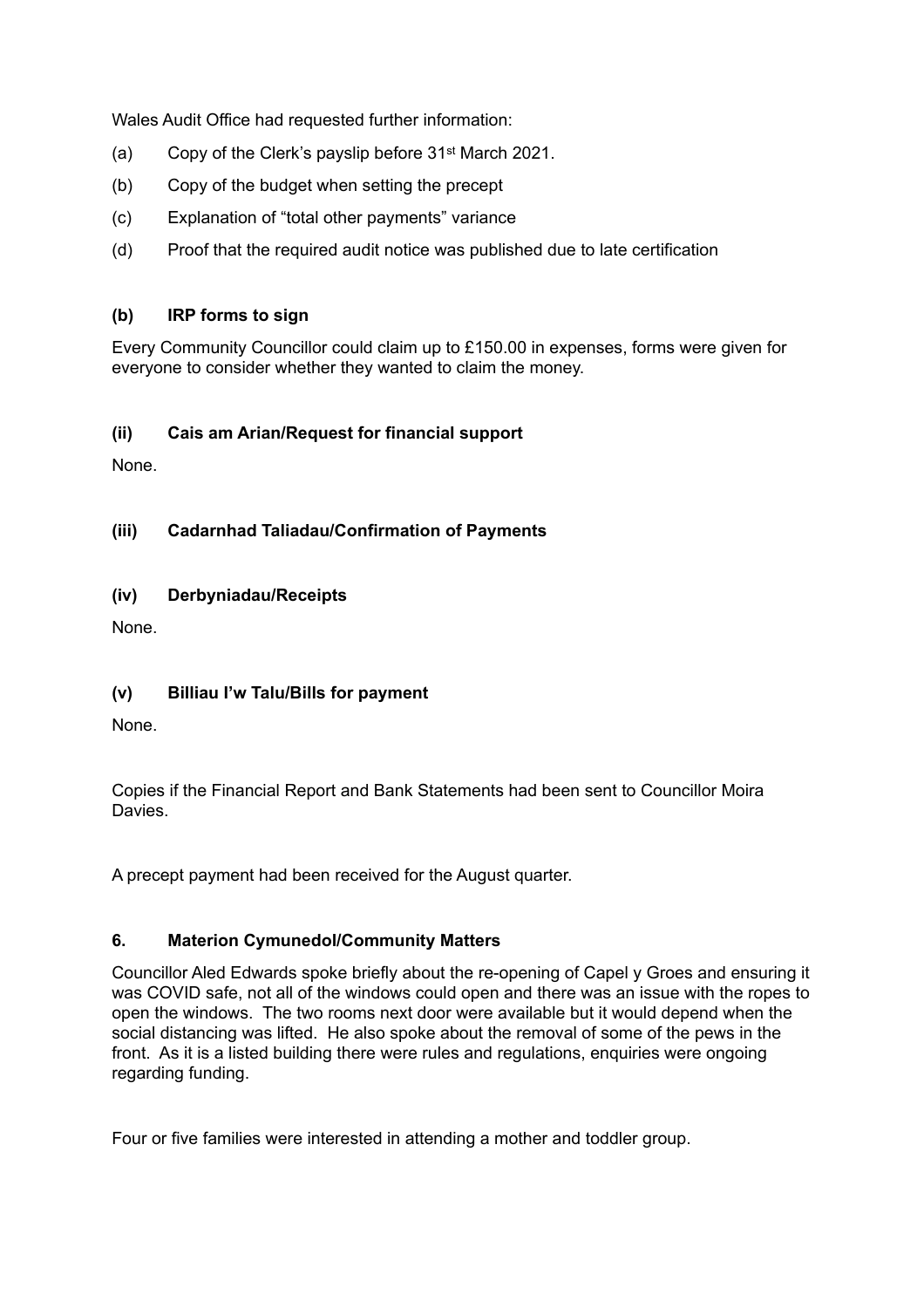Wales Audit Office had requested further information:

- (a) Copy of the Clerk's payslip before 31st March 2021.
- (b) Copy of the budget when setting the precept
- (c) Explanation of "total other payments" variance
- (d) Proof that the required audit notice was published due to late certification

## **(b) IRP forms to sign**

Every Community Councillor could claim up to £150.00 in expenses, forms were given for everyone to consider whether they wanted to claim the money.

#### **(ii) Cais am Arian/Request for financial support**

None.

**(iii) Cadarnhad Taliadau/Confirmation of Payments**

#### **(iv) Derbyniadau/Receipts**

None.

#### **(v) Billiau I'w Talu/Bills for payment**

None.

Copies if the Financial Report and Bank Statements had been sent to Councillor Moira **Davies** 

A precept payment had been received for the August quarter.

#### **6. Materion Cymunedol/Community Matters**

Councillor Aled Edwards spoke briefly about the re-opening of Capel y Groes and ensuring it was COVID safe, not all of the windows could open and there was an issue with the ropes to open the windows. The two rooms next door were available but it would depend when the social distancing was lifted. He also spoke about the removal of some of the pews in the front. As it is a listed building there were rules and regulations, enquiries were ongoing regarding funding.

Four or five families were interested in attending a mother and toddler group.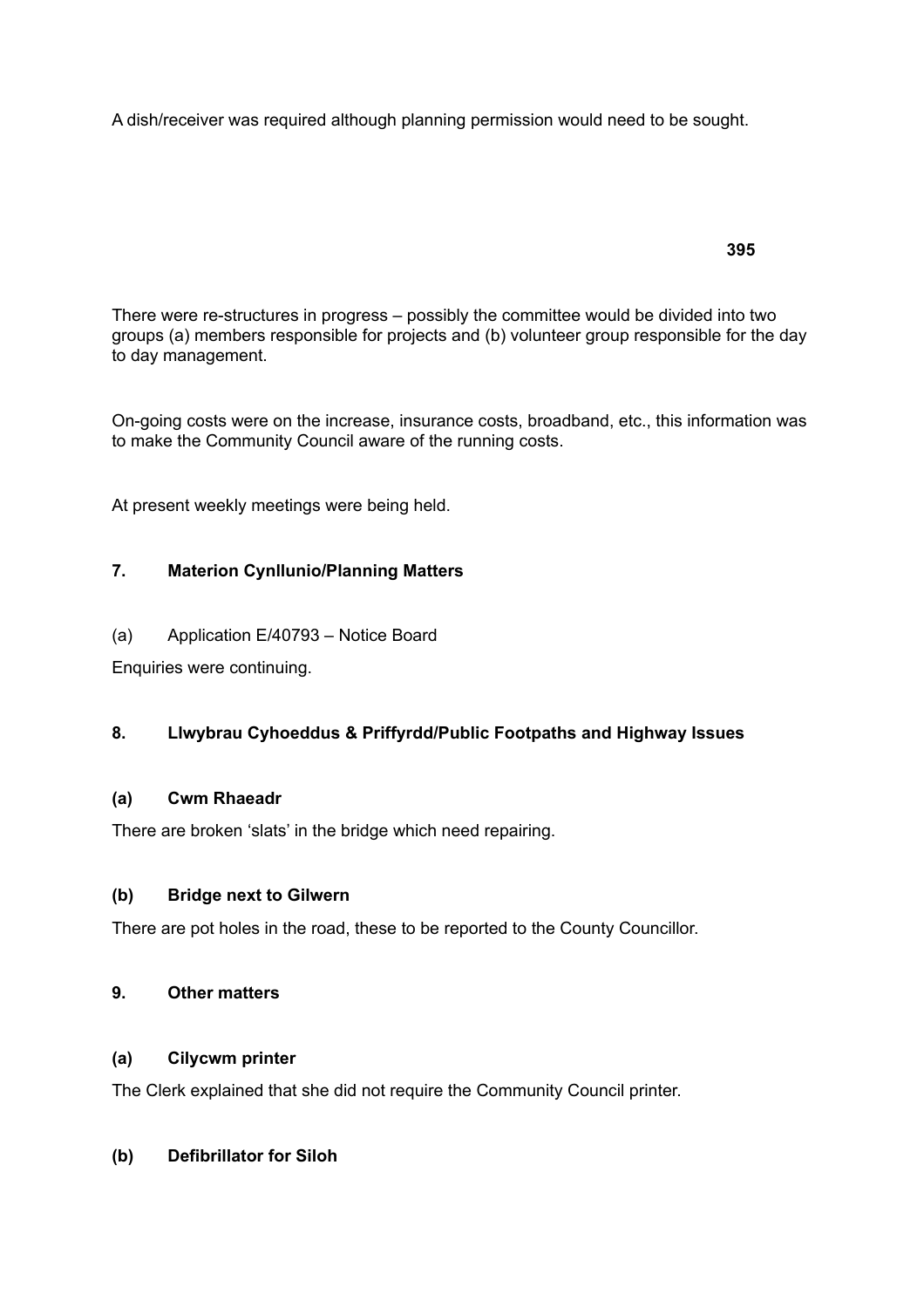A dish/receiver was required although planning permission would need to be sought.

There were re-structures in progress – possibly the committee would be divided into two groups (a) members responsible for projects and (b) volunteer group responsible for the day to day management.

On-going costs were on the increase, insurance costs, broadband, etc., this information was to make the Community Council aware of the running costs.

At present weekly meetings were being held.

## **7. Materion Cynllunio/Planning Matters**

(a) Application E/40793 – Notice Board

Enquiries were continuing.

#### **8. Llwybrau Cyhoeddus & Priffyrdd/Public Footpaths and Highway Issues**

#### **(a) Cwm Rhaeadr**

There are broken 'slats' in the bridge which need repairing.

#### **(b) Bridge next to Gilwern**

There are pot holes in the road, these to be reported to the County Councillor.

## **9. Other matters**

#### **(a) Cilycwm printer**

The Clerk explained that she did not require the Community Council printer.

### **(b) Defibrillator for Siloh**